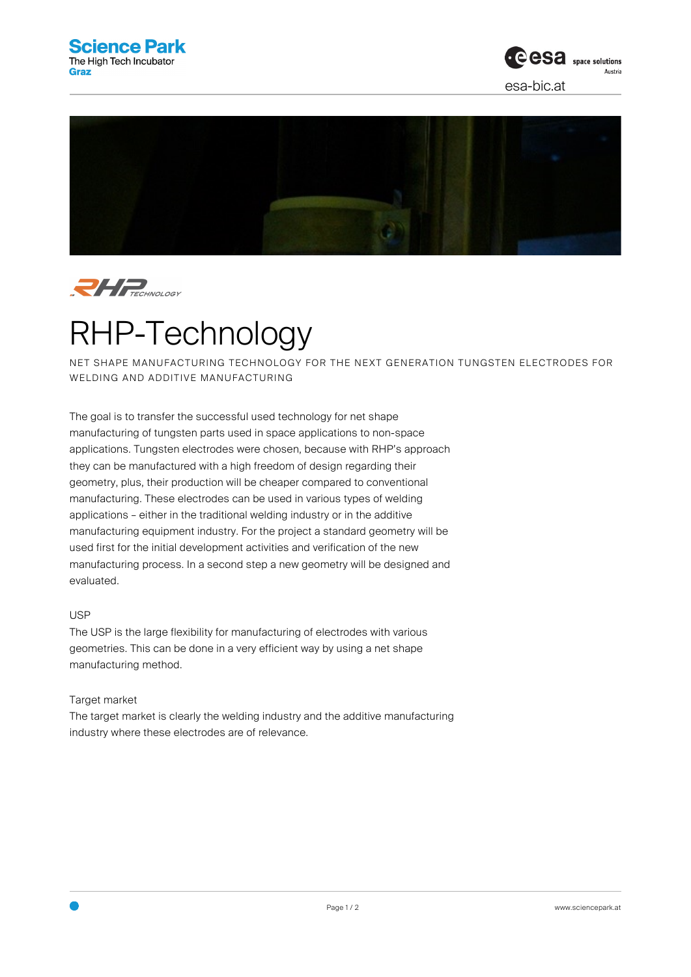





## RHP-Technology

NET SHAPE MANUFACTURING TECHNOLOGY FOR THE NEXT GENERATION TUNGSTEN ELECTRODES FOR WELDING AND ADDITIVE MANUFACTURING

The goal is to transfer the successful used technology for net shape manufacturing of tungsten parts used in space applications to non-space applications. Tungsten electrodes were chosen, because with RHP's approach they can be manufactured with a high freedom of design regarding their geometry, plus, their production will be cheaper compared to conventional manufacturing. These electrodes can be used in various types of welding applications – either in the traditional welding industry or in the additive manufacturing equipment industry. For the project a standard geometry will be used first for the initial development activities and verification of the new manufacturing process. In a second step a new geometry will be designed and evaluated.

## USP

The USP is the large flexibility for manufacturing of electrodes with various geometries. This can be done in a very efficient way by using a net shape manufacturing method.

## Target market

The target market is clearly the welding industry and the additive manufacturing industry where these electrodes are of relevance.